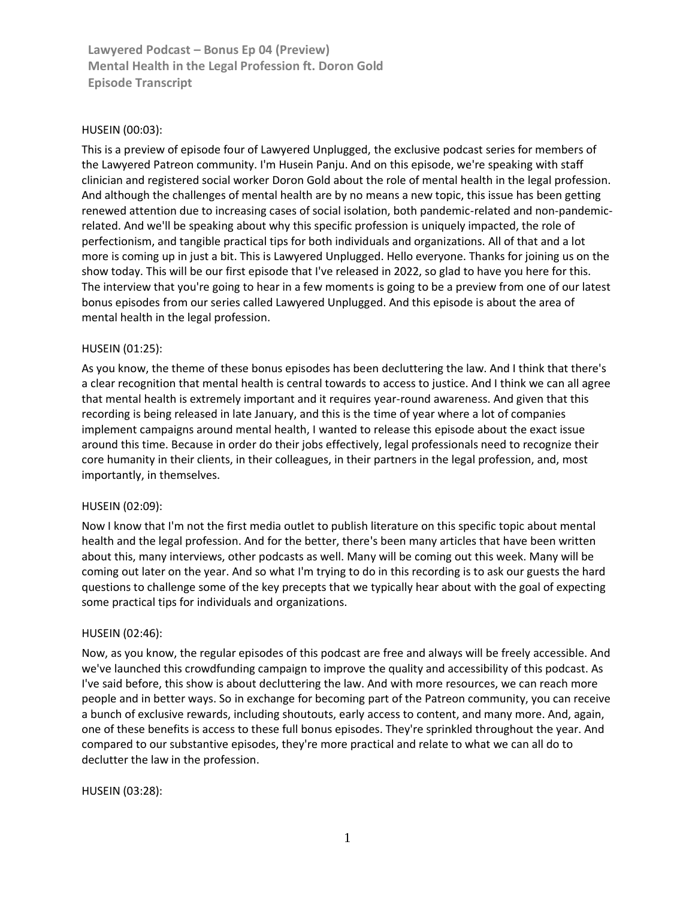## HUSEIN [\(00:03\)](https://www.rev.com/transcript-editor/Edit?token=AUc2ifTKZQnvAoKoiwB_IESUQSbXpUlesAsrvsGNtWpg_ywOvjvRXwcpqTesF5DR8O1YZeTYFhmwxo6JHQy_3iiyZ74&loadFrom=DocumentDeeplink&ts=3.53):

This is a preview of episode four of Lawyered Unplugged, the exclusive podcast series for members of the Lawyered Patreon community. I'm Husein Panju. And on this episode, we're speaking with staff clinician and registered social worker Doron Gold about the role of mental health in the legal profession. And although the challenges of mental health are by no means a new topic, this issue has been getting renewed attention due to increasing cases of social isolation, both pandemic-related and non-pandemicrelated. And we'll be speaking about why this specific profession is uniquely impacted, the role of perfectionism, and tangible practical tips for both individuals and organizations. All of that and a lot more is coming up in just a bit. This is Lawyered Unplugged. Hello everyone. Thanks for joining us on the show today. This will be our first episode that I've released in 2022, so glad to have you here for this. The interview that you're going to hear in a few moments is going to be a preview from one of our latest bonus episodes from our series called Lawyered Unplugged. And this episode is about the area of mental health in the legal profession.

### HUSEIN [\(01:25\)](https://www.rev.com/transcript-editor/Edit?token=wHXv__YSFh41J_1Mw3ZeS-OqQaFSSb1pR1rkYMBLFfGLSs8xXFlrN0-hNK1o6P0kHgLeQv69R1-gXNJZ2tREwgSOYYk&loadFrom=DocumentDeeplink&ts=85.14):

As you know, the theme of these bonus episodes has been decluttering the law. And I think that there's a clear recognition that mental health is central towards to access to justice. And I think we can all agree that mental health is extremely important and it requires year-round awareness. And given that this recording is being released in late January, and this is the time of year where a lot of companies implement campaigns around mental health, I wanted to release this episode about the exact issue around this time. Because in order do their jobs effectively, legal professionals need to recognize their core humanity in their clients, in their colleagues, in their partners in the legal profession, and, most importantly, in themselves.

### HUSEIN [\(02:09\)](https://www.rev.com/transcript-editor/Edit?token=1j733hVYVoS60E8F5pKer18hGURM7GgLuqtmjZZ7KfhvycL3uHwxxTcNqSmyrlisc3MMP1LHuaJf-BhTSX-s6tRzaLE&loadFrom=DocumentDeeplink&ts=129.77):

Now I know that I'm not the first media outlet to publish literature on this specific topic about mental health and the legal profession. And for the better, there's been many articles that have been written about this, many interviews, other podcasts as well. Many will be coming out this week. Many will be coming out later on the year. And so what I'm trying to do in this recording is to ask our guests the hard questions to challenge some of the key precepts that we typically hear about with the goal of expecting some practical tips for individuals and organizations.

### HUSEIN [\(02:46\)](https://www.rev.com/transcript-editor/Edit?token=UpbR6zYEQJkeRLpxXL-BHuyM0kSVHl9zfADiqMal2ZrFs4fIBG7DtRpo8fp0zDJULOfTpQ98nkWBYYGEX6RoFf7sAVY&loadFrom=DocumentDeeplink&ts=166.21):

Now, as you know, the regular episodes of this podcast are free and always will be freely accessible. And we've launched this crowdfunding campaign to improve the quality and accessibility of this podcast. As I've said before, this show is about decluttering the law. And with more resources, we can reach more people and in better ways. So in exchange for becoming part of the Patreon community, you can receive a bunch of exclusive rewards, including shoutouts, early access to content, and many more. And, again, one of these benefits is access to these full bonus episodes. They're sprinkled throughout the year. And compared to our substantive episodes, they're more practical and relate to what we can all do to declutter the law in the profession.

### HUSEIN [\(03:28\)](https://www.rev.com/transcript-editor/Edit?token=c6lMpJIp58k2_qhqJJVYCYKpyc6ZX4qJWBOiFjxuu3LY6dQxCMw0d3pTQfFF32VwHil_Z70_D4Z21wq3pwWn_yJMAhI&loadFrom=DocumentDeeplink&ts=208.48):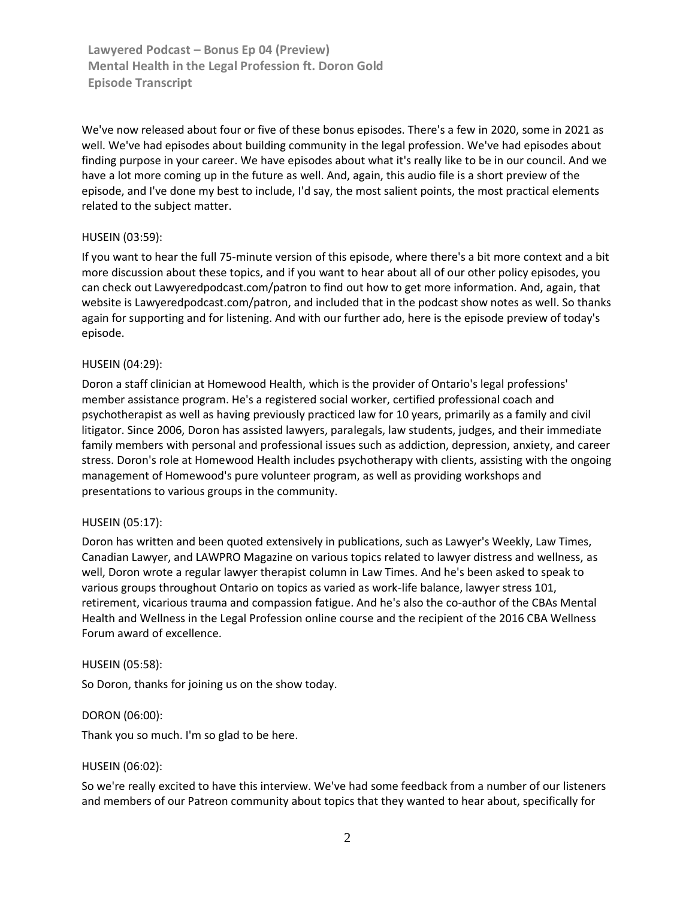We've now released about four or five of these bonus episodes. There's a few in 2020, some in 2021 as well. We've had episodes about building community in the legal profession. We've had episodes about finding purpose in your career. We have episodes about what it's really like to be in our council. And we have a lot more coming up in the future as well. And, again, this audio file is a short preview of the episode, and I've done my best to include, I'd say, the most salient points, the most practical elements related to the subject matter.

### HUSEIN [\(03:59\)](https://www.rev.com/transcript-editor/Edit?token=x-agCLQIOKRz8d8e2rK3oLwIPaj2TCDpwhQR_4mXrmeZ_YIL_jndlyTKD1GFNIOxnic4maeFGEe8dtHAP8wleyN1Y9o&loadFrom=DocumentDeeplink&ts=239.8):

If you want to hear the full 75-minute version of this episode, where there's a bit more context and a bit more discussion about these topics, and if you want to hear about all of our other policy episodes, you can check out Lawyeredpodcast.com/patron to find out how to get more information. And, again, that website is Lawyeredpodcast.com/patron, and included that in the podcast show notes as well. So thanks again for supporting and for listening. And with our further ado, here is the episode preview of today's episode.

### HUSEIN [\(04:29\)](https://www.rev.com/transcript-editor/Edit?token=9ANI2YWqAht8WdIKMGSSnPtJ5W_OkkIrJCwiFftu4mRez1J6AWxem4j5l7aRIda9EGdAvdCdQGLHqltURHw2Kb8cpYc&loadFrom=DocumentDeeplink&ts=269.96):

Doron a staff clinician at Homewood Health, which is the provider of Ontario's legal professions' member assistance program. He's a registered social worker, certified professional coach and psychotherapist as well as having previously practiced law for 10 years, primarily as a family and civil litigator. Since 2006, Doron has assisted lawyers, paralegals, law students, judges, and their immediate family members with personal and professional issues such as addiction, depression, anxiety, and career stress. Doron's role at Homewood Health includes psychotherapy with clients, assisting with the ongoing management of Homewood's pure volunteer program, as well as providing workshops and presentations to various groups in the community.

### HUSEIN [\(05:17\)](https://www.rev.com/transcript-editor/Edit?token=c1JbaHJPAqB2_LTGH_UvUoXFdLtm7mq-vrm3vjn4qMyNgLtKse2Dl7jR_1hYFdOmpAzg7ALBSNr3LB27Ubub6XNAQCQ&loadFrom=DocumentDeeplink&ts=317.71):

Doron has written and been quoted extensively in publications, such as Lawyer's Weekly, Law Times, Canadian Lawyer, and LAWPRO Magazine on various topics related to lawyer distress and wellness, as well, Doron wrote a regular lawyer therapist column in Law Times. And he's been asked to speak to various groups throughout Ontario on topics as varied as work-life balance, lawyer stress 101, retirement, vicarious trauma and compassion fatigue. And he's also the co-author of the CBAs Mental Health and Wellness in the Legal Profession online course and the recipient of the 2016 CBA Wellness Forum award of excellence.

### HUSEIN [\(05:58\)](https://www.rev.com/transcript-editor/Edit?token=tV3orYYkoVAP4_qZ_cBMyFaFoE3tv5t92iGJCQR2gVJYmmBdyaGLfSMMwpSROXBSi3OxthkvMmbXBtB3onWfvZXXsa4&loadFrom=DocumentDeeplink&ts=358.53):

So Doron, thanks for joining us on the show today.

### DORON [\(06:00\)](https://www.rev.com/transcript-editor/Edit?token=-JigD-TkYiLxp9o--fgeOTczvGt2oOEXLVrygSeaT5ZrvLpRLxYXYjmSw5pOWpHDdeQ06Vu3T6o7joCU6rrGLnOj0Ww&loadFrom=DocumentDeeplink&ts=360.55):

Thank you so much. I'm so glad to be here.

### HUSEIN [\(06:02\)](https://www.rev.com/transcript-editor/Edit?token=depP_0XWGi8eWsmzpku50ouDWNyhW-qINnxdm7BmLjjLWD_mdQHct-mJ1HByXyb7Z-mdAjMu0Xvyr228V1R1mXcANSI&loadFrom=DocumentDeeplink&ts=362.63):

So we're really excited to have this interview. We've had some feedback from a number of our listeners and members of our Patreon community about topics that they wanted to hear about, specifically for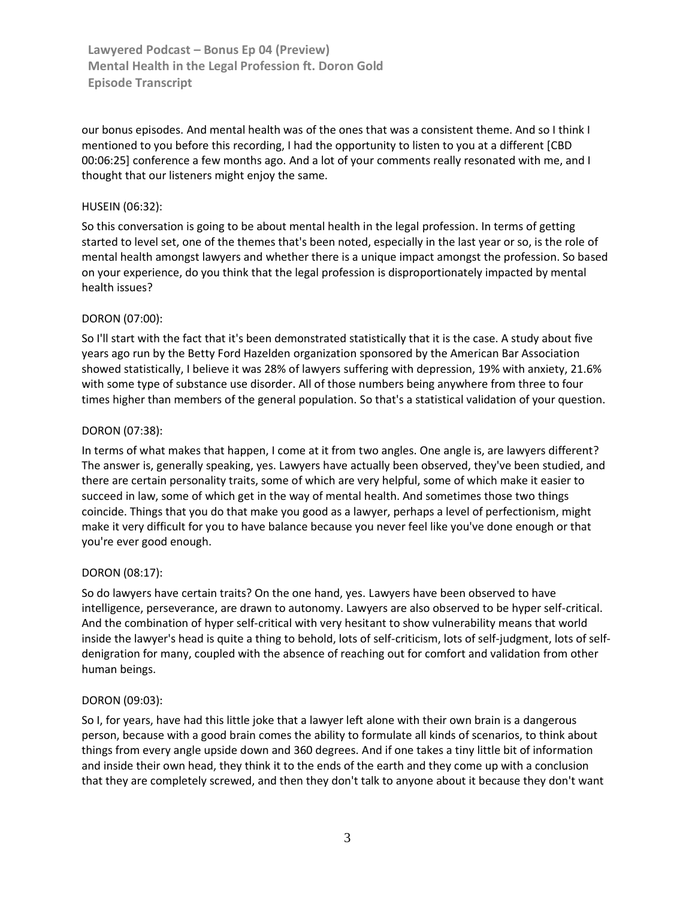our bonus episodes. And mental health was of the ones that was a consistent theme. And so I think I mentioned to you before this recording, I had the opportunity to listen to you at a different [CBD 00:06:25] conference a few months ago. And a lot of your comments really resonated with me, and I thought that our listeners might enjoy the same.

## HUSEIN [\(06:32\)](https://www.rev.com/transcript-editor/Edit?token=F8mAN9XLnuMcKHIdCYdoHes10eZ_5bP3uWgL_VdCPoGZkaFBNBUI0gCbdLtaXMRa8ETXTQI1UyHA_zLkK14lOnYh2LY&loadFrom=DocumentDeeplink&ts=392.95):

So this conversation is going to be about mental health in the legal profession. In terms of getting started to level set, one of the themes that's been noted, especially in the last year or so, is the role of mental health amongst lawyers and whether there is a unique impact amongst the profession. So based on your experience, do you think that the legal profession is disproportionately impacted by mental health issues?

# DORON [\(07:00\)](https://www.rev.com/transcript-editor/Edit?token=psHuANEB6cXfSdB5-yfLvF5SQ1aM1Hvx6xhPS53jOPlEENNdfwFnuEUD7mnfBIClsHu2_ZumZREAOkTesEkJoDnon10&loadFrom=DocumentDeeplink&ts=420.24):

So I'll start with the fact that it's been demonstrated statistically that it is the case. A study about five years ago run by the Betty Ford Hazelden organization sponsored by the American Bar Association showed statistically, I believe it was 28% of lawyers suffering with depression, 19% with anxiety, 21.6% with some type of substance use disorder. All of those numbers being anywhere from three to four times higher than members of the general population. So that's a statistical validation of your question.

### DORON [\(07:38\)](https://www.rev.com/transcript-editor/Edit?token=cY8gn0-TlZ_NNR91Uczop90ZEn99LFCuEqKEIUJLSdMsqlf8Sq0Qy-F9ZKJhJNKlc0xZGL50SWBpdjRGPF9sONo-DhQ&loadFrom=DocumentDeeplink&ts=458.34):

In terms of what makes that happen, I come at it from two angles. One angle is, are lawyers different? The answer is, generally speaking, yes. Lawyers have actually been observed, they've been studied, and there are certain personality traits, some of which are very helpful, some of which make it easier to succeed in law, some of which get in the way of mental health. And sometimes those two things coincide. Things that you do that make you good as a lawyer, perhaps a level of perfectionism, might make it very difficult for you to have balance because you never feel like you've done enough or that you're ever good enough.

### DORON [\(08:17\)](https://www.rev.com/transcript-editor/Edit?token=y1z3tLygzucjiHVTrpD-XBTi85W3Q13OfhyoyqCI64k0-Z7sycS8PC_SqF20IamvAUIE6130gdSTaqEPDnmiryrypHg&loadFrom=DocumentDeeplink&ts=497.4):

So do lawyers have certain traits? On the one hand, yes. Lawyers have been observed to have intelligence, perseverance, are drawn to autonomy. Lawyers are also observed to be hyper self-critical. And the combination of hyper self-critical with very hesitant to show vulnerability means that world inside the lawyer's head is quite a thing to behold, lots of self-criticism, lots of self-judgment, lots of selfdenigration for many, coupled with the absence of reaching out for comfort and validation from other human beings.

### DORON [\(09:03\)](https://www.rev.com/transcript-editor/Edit?token=N1R5igvyI1NwA51R6re61M7efg-9hGPR0lULTwFRTDBvWDL3HCitR5Pg83DPPU-77edo01srA34fFFzCP3YSyl7srw8&loadFrom=DocumentDeeplink&ts=543.18):

So I, for years, have had this little joke that a lawyer left alone with their own brain is a dangerous person, because with a good brain comes the ability to formulate all kinds of scenarios, to think about things from every angle upside down and 360 degrees. And if one takes a tiny little bit of information and inside their own head, they think it to the ends of the earth and they come up with a conclusion that they are completely screwed, and then they don't talk to anyone about it because they don't want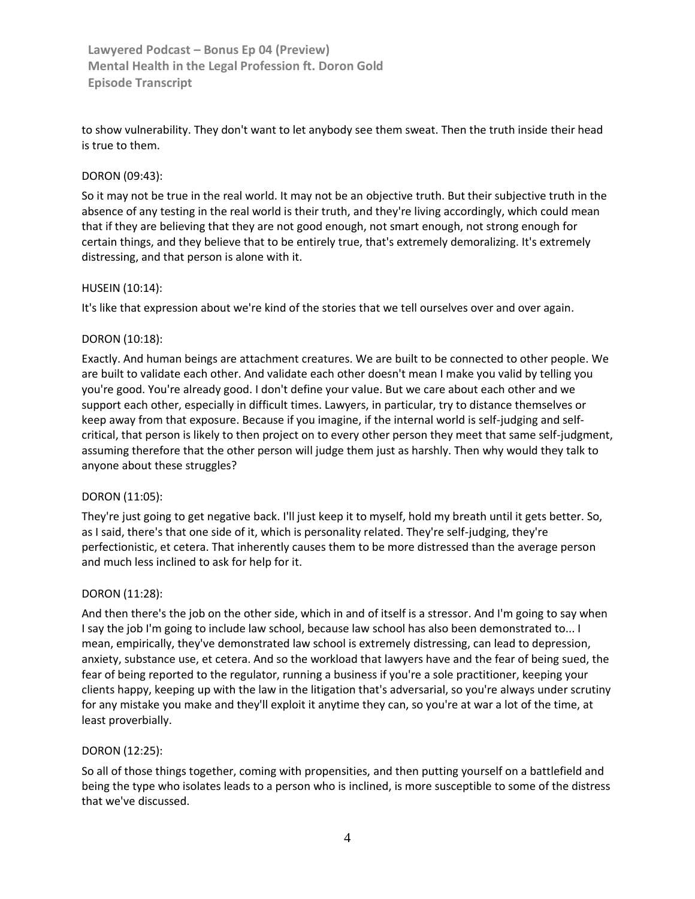to show vulnerability. They don't want to let anybody see them sweat. Then the truth inside their head is true to them.

## DORON [\(09:43\)](https://www.rev.com/transcript-editor/Edit?token=07-MnusiloAAz7QeseT6ydDmaXKNYpCmZfxBpElBSKNlhU37QgS5D55x_fP15Ci_5Y3RbXS3k7wRcM9AJYiGhyQMj_Y&loadFrom=DocumentDeeplink&ts=583.66):

So it may not be true in the real world. It may not be an objective truth. But their subjective truth in the absence of any testing in the real world is their truth, and they're living accordingly, which could mean that if they are believing that they are not good enough, not smart enough, not strong enough for certain things, and they believe that to be entirely true, that's extremely demoralizing. It's extremely distressing, and that person is alone with it.

## HUSEIN [\(10:14\)](https://www.rev.com/transcript-editor/Edit?token=8btfqHGL9m1evQudOqtHH3uSDTJWQb3n7_qdWItnNDI1QBO_YlSL4PO8JDSomFY2HT1sTaafJ_wnXup558BR4nuLXrU&loadFrom=DocumentDeeplink&ts=614.01):

It's like that expression about we're kind of the stories that we tell ourselves over and over again.

### DORON [\(10:18\)](https://www.rev.com/transcript-editor/Edit?token=0wnE3hkA_xnVIAklW97ibJahK4bOr-0hMb0BGYTewj8xgOaJouwJvJntyoZaPTSGG1-f49eR6ruO8oM1_OcbOpa7PeQ&loadFrom=DocumentDeeplink&ts=618.42):

Exactly. And human beings are attachment creatures. We are built to be connected to other people. We are built to validate each other. And validate each other doesn't mean I make you valid by telling you you're good. You're already good. I don't define your value. But we care about each other and we support each other, especially in difficult times. Lawyers, in particular, try to distance themselves or keep away from that exposure. Because if you imagine, if the internal world is self-judging and selfcritical, that person is likely to then project on to every other person they meet that same self-judgment, assuming therefore that the other person will judge them just as harshly. Then why would they talk to anyone about these struggles?

### DORON [\(11:05\)](https://www.rev.com/transcript-editor/Edit?token=vwBePQdvE9pl9q0OkHpVF2Gmy9rsmX2faLNuVYMrTnJBH0hQNtH5uC7FIgAeAh0NWFvEC53A0ph6mAV2zh3xI5QorGE&loadFrom=DocumentDeeplink&ts=665.44):

They're just going to get negative back. I'll just keep it to myself, hold my breath until it gets better. So, as I said, there's that one side of it, which is personality related. They're self-judging, they're perfectionistic, et cetera. That inherently causes them to be more distressed than the average person and much less inclined to ask for help for it.

### DORON [\(11:28\)](https://www.rev.com/transcript-editor/Edit?token=P09nOQECoQEY-7ReYOMTt0bMMXXvaYduqFXg8BoG_VxSSDTcu9BK3SoTm793bYNbbT_GbjguvEJzrdn2-ptLXZNNQC0&loadFrom=DocumentDeeplink&ts=688.82):

And then there's the job on the other side, which in and of itself is a stressor. And I'm going to say when I say the job I'm going to include law school, because law school has also been demonstrated to... I mean, empirically, they've demonstrated law school is extremely distressing, can lead to depression, anxiety, substance use, et cetera. And so the workload that lawyers have and the fear of being sued, the fear of being reported to the regulator, running a business if you're a sole practitioner, keeping your clients happy, keeping up with the law in the litigation that's adversarial, so you're always under scrutiny for any mistake you make and they'll exploit it anytime they can, so you're at war a lot of the time, at least proverbially.

### DORON [\(12:25\)](https://www.rev.com/transcript-editor/Edit?token=dCRQ7-23fZK3aypbk3SopyBwFNAGGKQLw8m0jbXFYLYsbjq0gxPUdLpcuqqYai5VatF-ENuii0cCr0TbpeA1WF-Ygnk&loadFrom=DocumentDeeplink&ts=745.47):

So all of those things together, coming with propensities, and then putting yourself on a battlefield and being the type who isolates leads to a person who is inclined, is more susceptible to some of the distress that we've discussed.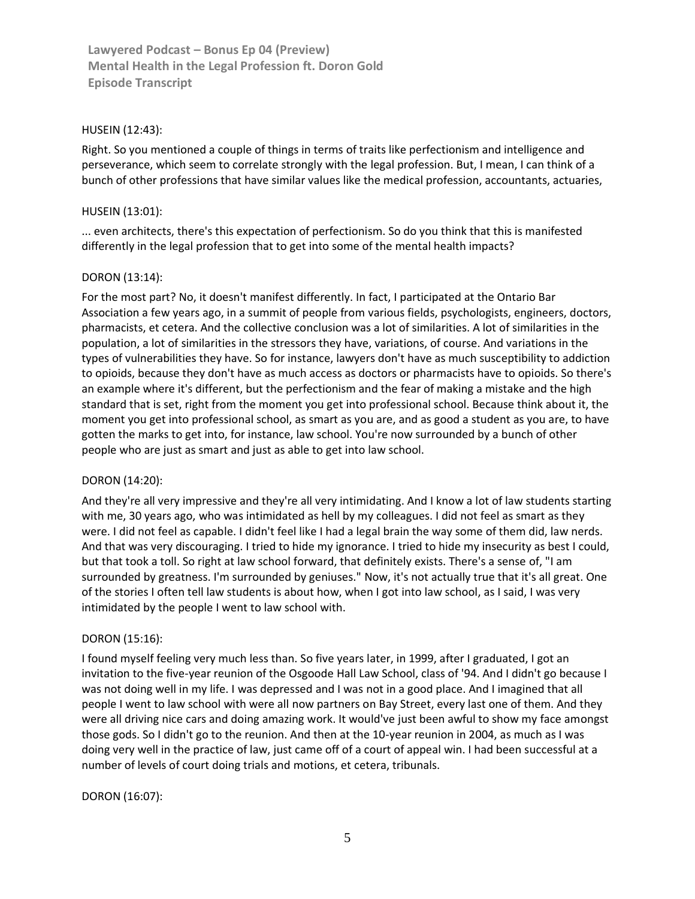### HUSEIN [\(12:43\)](https://www.rev.com/transcript-editor/Edit?token=jR_RmTxvhD-Rdc-fq76NRxIjq9UtTvJ1SztV5lp_ZPFCWQKVXrKP5CMMU60LGPjdOW-bDtgWjG8p3IlWh137V5Uw3hQ&loadFrom=DocumentDeeplink&ts=763.74):

Right. So you mentioned a couple of things in terms of traits like perfectionism and intelligence and perseverance, which seem to correlate strongly with the legal profession. But, I mean, I can think of a bunch of other professions that have similar values like the medical profession, accountants, actuaries,

# HUSEIN [\(13:01\)](https://www.rev.com/transcript-editor/Edit?token=1EfMcRLY-dizQ1CGxiSjc0LMr8Yq1niBkrPdRETygsh9xPnipttYdActBctZSgDnVjql4VRxMYr4o_aQhB61gH294r4&loadFrom=DocumentDeeplink&ts=781.24):

... even architects, there's this expectation of perfectionism. So do you think that this is manifested differently in the legal profession that to get into some of the mental health impacts?

# DORON [\(13:14\)](https://www.rev.com/transcript-editor/Edit?token=RPyItmSXiDA0Wm5GTgfvLeok55U3bR-nzgwr3HRc-h_2feXi0OYlMbCxQasrnjS1try-8YFtp7KKnOwq6WMb1lnAlTA&loadFrom=DocumentDeeplink&ts=794.78):

For the most part? No, it doesn't manifest differently. In fact, I participated at the Ontario Bar Association a few years ago, in a summit of people from various fields, psychologists, engineers, doctors, pharmacists, et cetera. And the collective conclusion was a lot of similarities. A lot of similarities in the population, a lot of similarities in the stressors they have, variations, of course. And variations in the types of vulnerabilities they have. So for instance, lawyers don't have as much susceptibility to addiction to opioids, because they don't have as much access as doctors or pharmacists have to opioids. So there's an example where it's different, but the perfectionism and the fear of making a mistake and the high standard that is set, right from the moment you get into professional school. Because think about it, the moment you get into professional school, as smart as you are, and as good a student as you are, to have gotten the marks to get into, for instance, law school. You're now surrounded by a bunch of other people who are just as smart and just as able to get into law school.

### DORON [\(14:20\)](https://www.rev.com/transcript-editor/Edit?token=RmicPKD-sq2fCK7p5zJGCP3FYJbSY0wnKVsgPQYUT08s4KcjCmx74lvaP1zxokUHt9WrXriWjTd3qdVgMfHy7gm1nvQ&loadFrom=DocumentDeeplink&ts=860.98):

And they're all very impressive and they're all very intimidating. And I know a lot of law students starting with me, 30 years ago, who was intimidated as hell by my colleagues. I did not feel as smart as they were. I did not feel as capable. I didn't feel like I had a legal brain the way some of them did, law nerds. And that was very discouraging. I tried to hide my ignorance. I tried to hide my insecurity as best I could, but that took a toll. So right at law school forward, that definitely exists. There's a sense of, "I am surrounded by greatness. I'm surrounded by geniuses." Now, it's not actually true that it's all great. One of the stories I often tell law students is about how, when I got into law school, as I said, I was very intimidated by the people I went to law school with.

### DORON [\(15:16\)](https://www.rev.com/transcript-editor/Edit?token=8wyzao1ChVhEEsL0GLUOPCun84f5cGbUGGif6ZdTn693TPw7U7MT2yhUcOOAuml_nGLWG_w_-03u5F_PzMLd5rsTSlc&loadFrom=DocumentDeeplink&ts=916.73):

I found myself feeling very much less than. So five years later, in 1999, after I graduated, I got an invitation to the five-year reunion of the Osgoode Hall Law School, class of '94. And I didn't go because I was not doing well in my life. I was depressed and I was not in a good place. And I imagined that all people I went to law school with were all now partners on Bay Street, every last one of them. And they were all driving nice cars and doing amazing work. It would've just been awful to show my face amongst those gods. So I didn't go to the reunion. And then at the 10-year reunion in 2004, as much as I was doing very well in the practice of law, just came off of a court of appeal win. I had been successful at a number of levels of court doing trials and motions, et cetera, tribunals.

### DORON [\(16:07\)](https://www.rev.com/transcript-editor/Edit?token=4t7zmvsgyK7nJduz5-CKNqE6QIPKzupIDrT0GzwaRJl8_Xjd6Frv0UeYhSoyCuTxVyUhcnpwYMh2GJgjRNhKfLU9euk&loadFrom=DocumentDeeplink&ts=967.56):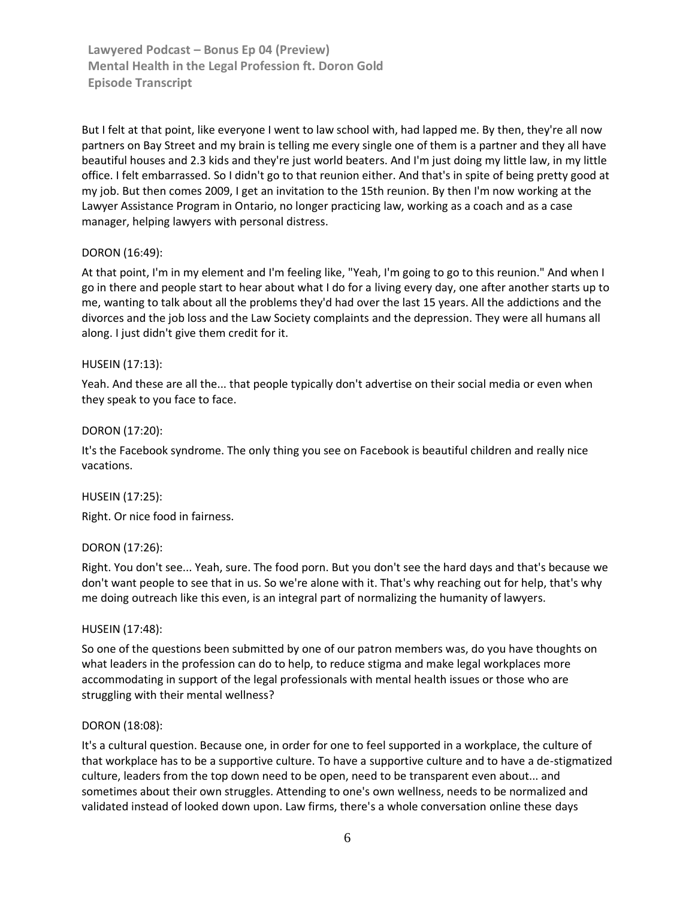But I felt at that point, like everyone I went to law school with, had lapped me. By then, they're all now partners on Bay Street and my brain is telling me every single one of them is a partner and they all have beautiful houses and 2.3 kids and they're just world beaters. And I'm just doing my little law, in my little office. I felt embarrassed. So I didn't go to that reunion either. And that's in spite of being pretty good at my job. But then comes 2009, I get an invitation to the 15th reunion. By then I'm now working at the Lawyer Assistance Program in Ontario, no longer practicing law, working as a coach and as a case manager, helping lawyers with personal distress.

### DORON [\(16:49\)](https://www.rev.com/transcript-editor/Edit?token=egFFHsXh7K_bVwxddgVylPvnt5yl3_yDD5wQmXMbqqT7C4TcySen__Wl1eQ6m-y217kZvIPKh_bF7Ju8DocFJ1CYHOE&loadFrom=DocumentDeeplink&ts=1009.24):

At that point, I'm in my element and I'm feeling like, "Yeah, I'm going to go to this reunion." And when I go in there and people start to hear about what I do for a living every day, one after another starts up to me, wanting to talk about all the problems they'd had over the last 15 years. All the addictions and the divorces and the job loss and the Law Society complaints and the depression. They were all humans all along. I just didn't give them credit for it.

### HUSEIN [\(17:13\)](https://www.rev.com/transcript-editor/Edit?token=z_taUH7kkXucPTBwoGjmLKm8ZswgkBC3h1iorO58v7QQWLpl67Q6mYAvY9BXnrc2ilUWNcYUwce-7N1-7HIZRwDGP_w&loadFrom=DocumentDeeplink&ts=1033.57):

Yeah. And these are all the... that people typically don't advertise on their social media or even when they speak to you face to face.

#### DORON [\(17:20\)](https://www.rev.com/transcript-editor/Edit?token=_pPjjb3gZaMQOooYcFGZt5bfuTJ1Hy_55qspaSLEn1yhfk2vVldteD9XJn5FtwZ_lShRpsXuUwr0lQhSpgcG8TImiTY&loadFrom=DocumentDeeplink&ts=1040.11):

It's the Facebook syndrome. The only thing you see on Facebook is beautiful children and really nice vacations.

#### HUSEIN [\(17:25\)](https://www.rev.com/transcript-editor/Edit?token=iUYjIrCM074jD2CmPe4XHAIt1wuKbhKAZzRDSjNF7VxsaVuR5l5oGRigN1rs6MIP0aqatJ9KPLmRVRQpaFKhq2Kz4qo&loadFrom=DocumentDeeplink&ts=1045.52):

Right. Or nice food in fairness.

### DORON [\(17:26\)](https://www.rev.com/transcript-editor/Edit?token=sOXs-0yjkHLTXXLvHW9FDvtlhUG8geNzL6gd9bcebct5TCkhp9K9VkCQL1aagAWd4Kcx9BbPycsLibZ68w7VTjZcAtM&loadFrom=DocumentDeeplink&ts=1046.81):

Right. You don't see... Yeah, sure. The food porn. But you don't see the hard days and that's because we don't want people to see that in us. So we're alone with it. That's why reaching out for help, that's why me doing outreach like this even, is an integral part of normalizing the humanity of lawyers.

#### HUSEIN [\(17:48\)](https://www.rev.com/transcript-editor/Edit?token=iawmNB7fMiamVmphcJGj0Xs5qKqSfjQjzs8yWBlmv_HQBJg5nQNfwF0qo1jCuKFTChdkOlsitvfgbOsIrOrod-fI3Yo&loadFrom=DocumentDeeplink&ts=1068.8):

So one of the questions been submitted by one of our patron members was, do you have thoughts on what leaders in the profession can do to help, to reduce stigma and make legal workplaces more accommodating in support of the legal professionals with mental health issues or those who are struggling with their mental wellness?

#### DORON [\(18:08\)](https://www.rev.com/transcript-editor/Edit?token=MsJ9fxvTP2m4_9tqNRBvSTxYJXd-O_VpFCo2356AoEnVp3n7rA1RPxVohZxIhcEH1RUpn-cnAoD7bIgKIsNq2VePgR8&loadFrom=DocumentDeeplink&ts=1088.02):

It's a cultural question. Because one, in order for one to feel supported in a workplace, the culture of that workplace has to be a supportive culture. To have a supportive culture and to have a de-stigmatized culture, leaders from the top down need to be open, need to be transparent even about... and sometimes about their own struggles. Attending to one's own wellness, needs to be normalized and validated instead of looked down upon. Law firms, there's a whole conversation online these days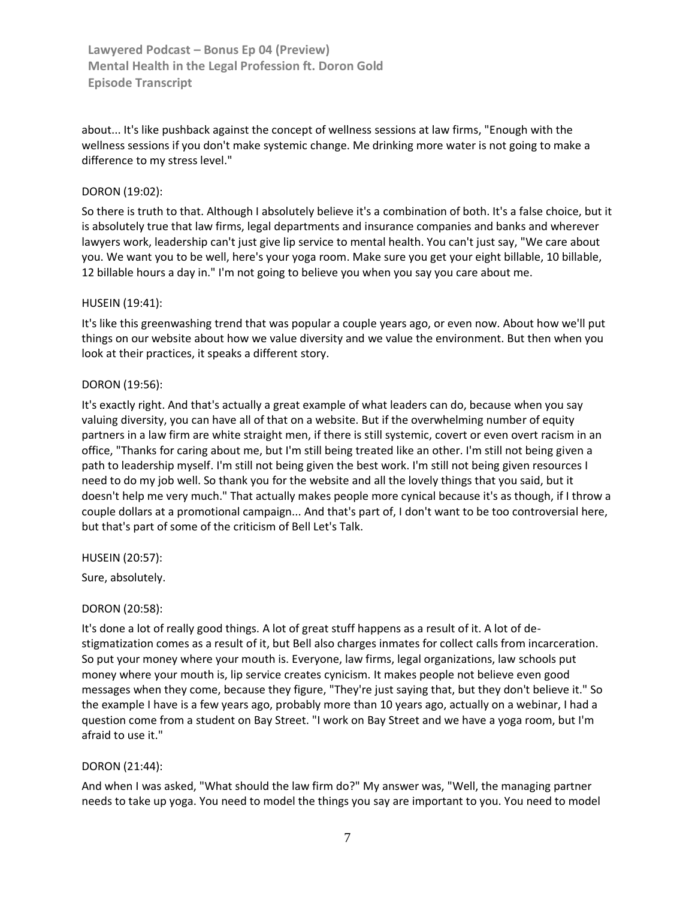about... It's like pushback against the concept of wellness sessions at law firms, "Enough with the wellness sessions if you don't make systemic change. Me drinking more water is not going to make a difference to my stress level."

### DORON [\(19:02\)](https://www.rev.com/transcript-editor/Edit?token=k8hsyUi3ndUwYFZh6U5VkRIgFR7fnhyf1T4b69ZPO6-ctyb0YDzFJ0ZzWgWGReDEKrpIprNQi7m5Z3o1kc2NJz8L0vY&loadFrom=DocumentDeeplink&ts=1142.01):

So there is truth to that. Although I absolutely believe it's a combination of both. It's a false choice, but it is absolutely true that law firms, legal departments and insurance companies and banks and wherever lawyers work, leadership can't just give lip service to mental health. You can't just say, "We care about you. We want you to be well, here's your yoga room. Make sure you get your eight billable, 10 billable, 12 billable hours a day in." I'm not going to believe you when you say you care about me.

#### HUSEIN [\(19:41\)](https://www.rev.com/transcript-editor/Edit?token=jZ06L5O2eSOGx9Mh83LbJ9SPvaLsAEcHZ3ENEy87Gswp-CNn4Cm8vvL0poxUkW6r11L0scOm6z1YZW-fVuFE1oBL_eg&loadFrom=DocumentDeeplink&ts=1181.13):

It's like this greenwashing trend that was popular a couple years ago, or even now. About how we'll put things on our website about how we value diversity and we value the environment. But then when you look at their practices, it speaks a different story.

#### DORON [\(19:56\)](https://www.rev.com/transcript-editor/Edit?token=I721IWnPnHwDGlKpLSqVw7gEzWDbqM2UqbjN9evg16Oqk1lVlElu73Qrs0ntjgd48XQ4dwibjLB3Iyt2dBF0tX3Q0NM&loadFrom=DocumentDeeplink&ts=1196.85):

It's exactly right. And that's actually a great example of what leaders can do, because when you say valuing diversity, you can have all of that on a website. But if the overwhelming number of equity partners in a law firm are white straight men, if there is still systemic, covert or even overt racism in an office, "Thanks for caring about me, but I'm still being treated like an other. I'm still not being given a path to leadership myself. I'm still not being given the best work. I'm still not being given resources I need to do my job well. So thank you for the website and all the lovely things that you said, but it doesn't help me very much." That actually makes people more cynical because it's as though, if I throw a couple dollars at a promotional campaign... And that's part of, I don't want to be too controversial here, but that's part of some of the criticism of Bell Let's Talk.

HUSEIN [\(20:57\)](https://www.rev.com/transcript-editor/Edit?token=EdpHfyzvVCm14QDIfqZMaDvlt35UHtGKLrDl_qbAEv-gfn4ql79ZmNALVgFGpgl23CCeJOgvXovfRWkr06gg754_9ug&loadFrom=DocumentDeeplink&ts=1257.55):

Sure, absolutely.

### DORON [\(20:58\)](https://www.rev.com/transcript-editor/Edit?token=tJ14WaW4zVjINLJPxm9CkWIj0HZ0RgHsgiUSq2p9VWYy91N0gAvRomo3D9aDYmI8DDIZMZIVlLrbTj4606jWlBYbriM&loadFrom=DocumentDeeplink&ts=1258):

It's done a lot of really good things. A lot of great stuff happens as a result of it. A lot of destigmatization comes as a result of it, but Bell also charges inmates for collect calls from incarceration. So put your money where your mouth is. Everyone, law firms, legal organizations, law schools put money where your mouth is, lip service creates cynicism. It makes people not believe even good messages when they come, because they figure, "They're just saying that, but they don't believe it." So the example I have is a few years ago, probably more than 10 years ago, actually on a webinar, I had a question come from a student on Bay Street. "I work on Bay Street and we have a yoga room, but I'm afraid to use it."

#### DORON [\(21:44\)](https://www.rev.com/transcript-editor/Edit?token=6PFxNE-eL7Ou0yDf44MNnCTRpNbkdzVg79v4NHlAYHYVUr4i6wyHrZUdX-hPVgsiYWYScmBaZfALkln5otnI5rEolt8&loadFrom=DocumentDeeplink&ts=1304.85):

And when I was asked, "What should the law firm do?" My answer was, "Well, the managing partner needs to take up yoga. You need to model the things you say are important to you. You need to model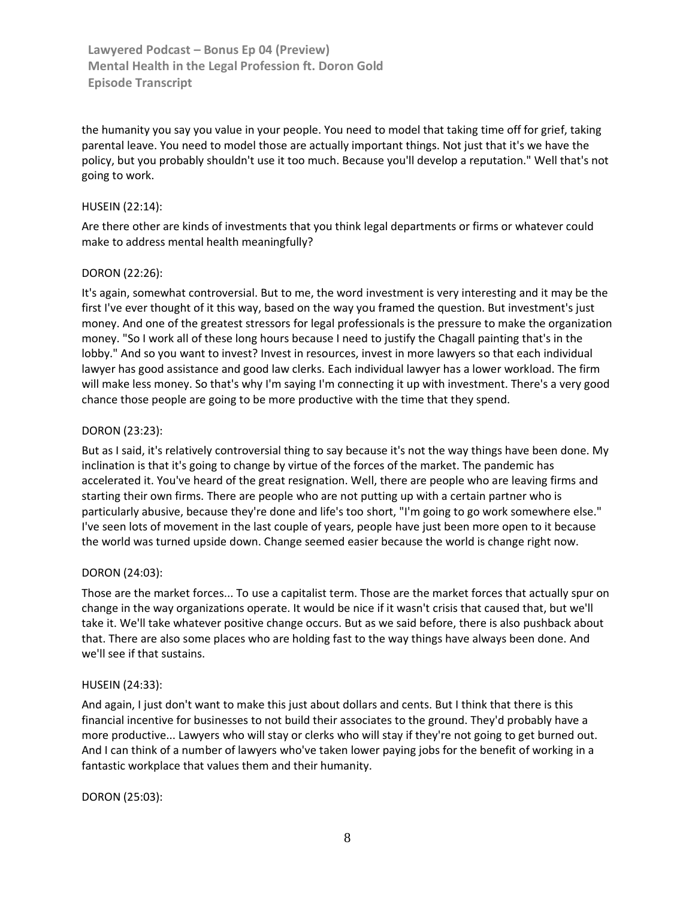the humanity you say you value in your people. You need to model that taking time off for grief, taking parental leave. You need to model those are actually important things. Not just that it's we have the policy, but you probably shouldn't use it too much. Because you'll develop a reputation." Well that's not going to work.

#### HUSEIN [\(22:14\)](https://www.rev.com/transcript-editor/Edit?token=1e23xFqTdusErlqhIGd3JB6bsizGPMcIDIPR0p0NRTM26vC2qpkT7DBXYcOIjkcHfAiCTINeEd7j8Sn5Pxnyteu_hIE&loadFrom=DocumentDeeplink&ts=1334.06):

Are there other are kinds of investments that you think legal departments or firms or whatever could make to address mental health meaningfully?

#### DORON [\(22:26\)](https://www.rev.com/transcript-editor/Edit?token=ezMYNxMMgYiQaM6wLNZIZYNNpLp2Q5sq9450swMZLlDyRcjgW5PI5SJGA8GBn7Fn5vI_sabStDG5Ne2UstxSwVzCd-c&loadFrom=DocumentDeeplink&ts=1346.94):

It's again, somewhat controversial. But to me, the word investment is very interesting and it may be the first I've ever thought of it this way, based on the way you framed the question. But investment's just money. And one of the greatest stressors for legal professionals is the pressure to make the organization money. "So I work all of these long hours because I need to justify the Chagall painting that's in the lobby." And so you want to invest? Invest in resources, invest in more lawyers so that each individual lawyer has good assistance and good law clerks. Each individual lawyer has a lower workload. The firm will make less money. So that's why I'm saying I'm connecting it up with investment. There's a very good chance those people are going to be more productive with the time that they spend.

#### DORON [\(23:23\)](https://www.rev.com/transcript-editor/Edit?token=xczmDrmT8SgfYC-n-57W-BlLeIxScxyRoHtzAW7fkqy0scTm0DN7eweL433OtorUOeH0lYLPQ1L01U0PX8yqSuP3Aes&loadFrom=DocumentDeeplink&ts=1403.42):

But as I said, it's relatively controversial thing to say because it's not the way things have been done. My inclination is that it's going to change by virtue of the forces of the market. The pandemic has accelerated it. You've heard of the great resignation. Well, there are people who are leaving firms and starting their own firms. There are people who are not putting up with a certain partner who is particularly abusive, because they're done and life's too short, "I'm going to go work somewhere else." I've seen lots of movement in the last couple of years, people have just been more open to it because the world was turned upside down. Change seemed easier because the world is change right now.

#### DORON [\(24:03\)](https://www.rev.com/transcript-editor/Edit?token=hj_F4x1Q_aEaz1A6LK2dDBGylHnT1qE0qZLr-gyu_E7EzLRbRphC6YfE31oox2Ubd7niGCAiuHodn7TpwSPNwOJXs5s&loadFrom=DocumentDeeplink&ts=1443.35):

Those are the market forces... To use a capitalist term. Those are the market forces that actually spur on change in the way organizations operate. It would be nice if it wasn't crisis that caused that, but we'll take it. We'll take whatever positive change occurs. But as we said before, there is also pushback about that. There are also some places who are holding fast to the way things have always been done. And we'll see if that sustains.

#### HUSEIN [\(24:33\)](https://www.rev.com/transcript-editor/Edit?token=vaRuk51l7UyqzeIbVR3AKDPcChDp_zo3YscQQYDYzJMox4ty4kUo6OsJI7W-J_E0HeUfrNPqxhT0NFLoSVfyyIo159c&loadFrom=DocumentDeeplink&ts=1473.32):

And again, I just don't want to make this just about dollars and cents. But I think that there is this financial incentive for businesses to not build their associates to the ground. They'd probably have a more productive... Lawyers who will stay or clerks who will stay if they're not going to get burned out. And I can think of a number of lawyers who've taken lower paying jobs for the benefit of working in a fantastic workplace that values them and their humanity.

#### DORON [\(25:03\)](https://www.rev.com/transcript-editor/Edit?token=rpuTGA0HqjcWNLHhTrSilEX0PFWhxwG3lz8blIvMVAiTEHy_h3wEfUvN3QCob5uBAx7ITZ8hDlrp8suwsDnH-zkLkCU&loadFrom=DocumentDeeplink&ts=1503.63):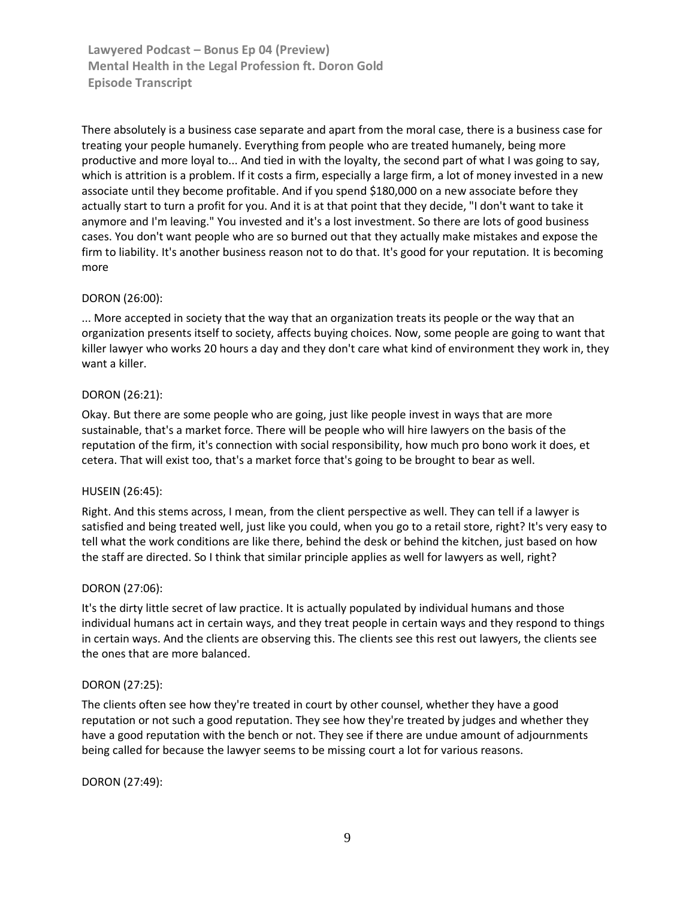There absolutely is a business case separate and apart from the moral case, there is a business case for treating your people humanely. Everything from people who are treated humanely, being more productive and more loyal to... And tied in with the loyalty, the second part of what I was going to say, which is attrition is a problem. If it costs a firm, especially a large firm, a lot of money invested in a new associate until they become profitable. And if you spend \$180,000 on a new associate before they actually start to turn a profit for you. And it is at that point that they decide, "I don't want to take it anymore and I'm leaving." You invested and it's a lost investment. So there are lots of good business cases. You don't want people who are so burned out that they actually make mistakes and expose the firm to liability. It's another business reason not to do that. It's good for your reputation. It is becoming more

### DORON [\(26:00\)](https://www.rev.com/transcript-editor/Edit?token=v_h7p4GnBtVmZyySnd-fnfi_lY5dU8-FtWsJDGFIq6Lc0iXD6_h32hIzh3dRFUNoypW1xlDsGo5WVDRA87yYspIeR5g&loadFrom=DocumentDeeplink&ts=1560.12):

... More accepted in society that the way that an organization treats its people or the way that an organization presents itself to society, affects buying choices. Now, some people are going to want that killer lawyer who works 20 hours a day and they don't care what kind of environment they work in, they want a killer.

#### DORON [\(26:21\)](https://www.rev.com/transcript-editor/Edit?token=hG0mAViOcagZ8tbDYWruQc6Bj_EjdOc6gpPqDQb6w_fK2kcMGdcBDMg543DV-fIfClrK3g0OiKVTgsMa49Zx9fVkxSU&loadFrom=DocumentDeeplink&ts=1581.71):

Okay. But there are some people who are going, just like people invest in ways that are more sustainable, that's a market force. There will be people who will hire lawyers on the basis of the reputation of the firm, it's connection with social responsibility, how much pro bono work it does, et cetera. That will exist too, that's a market force that's going to be brought to bear as well.

#### HUSEIN [\(26:45\)](https://www.rev.com/transcript-editor/Edit?token=fw00gP_3nAlOBCggyESkl6NiDEI28BHpVoudoNzFrEoWQ-wx4dc3MKG8BdPXiBORrDwf1_7mpDb6HNV18QvR0YE1EX8&loadFrom=DocumentDeeplink&ts=1605.86):

Right. And this stems across, I mean, from the client perspective as well. They can tell if a lawyer is satisfied and being treated well, just like you could, when you go to a retail store, right? It's very easy to tell what the work conditions are like there, behind the desk or behind the kitchen, just based on how the staff are directed. So I think that similar principle applies as well for lawyers as well, right?

#### DORON [\(27:06\)](https://www.rev.com/transcript-editor/Edit?token=HHV55niP_QQyc3Y5uGRHIkDAWtOZvpAYFLA1c9rsM_gnB3xW7aDdHeMQeh63uGtWqt-u7UFsgt6qDxB8Olhd9GXjmAU&loadFrom=DocumentDeeplink&ts=1626.82):

It's the dirty little secret of law practice. It is actually populated by individual humans and those individual humans act in certain ways, and they treat people in certain ways and they respond to things in certain ways. And the clients are observing this. The clients see this rest out lawyers, the clients see the ones that are more balanced.

#### DORON [\(27:25\)](https://www.rev.com/transcript-editor/Edit?token=lVvgf0hTFa4Rfc_pgiOi2oQVBd-UgkDe0eZOAfpNCSDWmNyJNOMPF3DVw4_gFTfQWVVUQBlQsigI7BvFXuYC7TGQRzc&loadFrom=DocumentDeeplink&ts=1645.42):

The clients often see how they're treated in court by other counsel, whether they have a good reputation or not such a good reputation. They see how they're treated by judges and whether they have a good reputation with the bench or not. They see if there are undue amount of adjournments being called for because the lawyer seems to be missing court a lot for various reasons.

#### DORON [\(27:49\)](https://www.rev.com/transcript-editor/Edit?token=ea430dpZhyI9ubsh5roz6xYScpBeIRlsW1Ny8cwUPPH9l3WyfTiQLSogQwFxFpXqjLC7-BEBiEs5xLxORmzfnlIYX1k&loadFrom=DocumentDeeplink&ts=1669.6):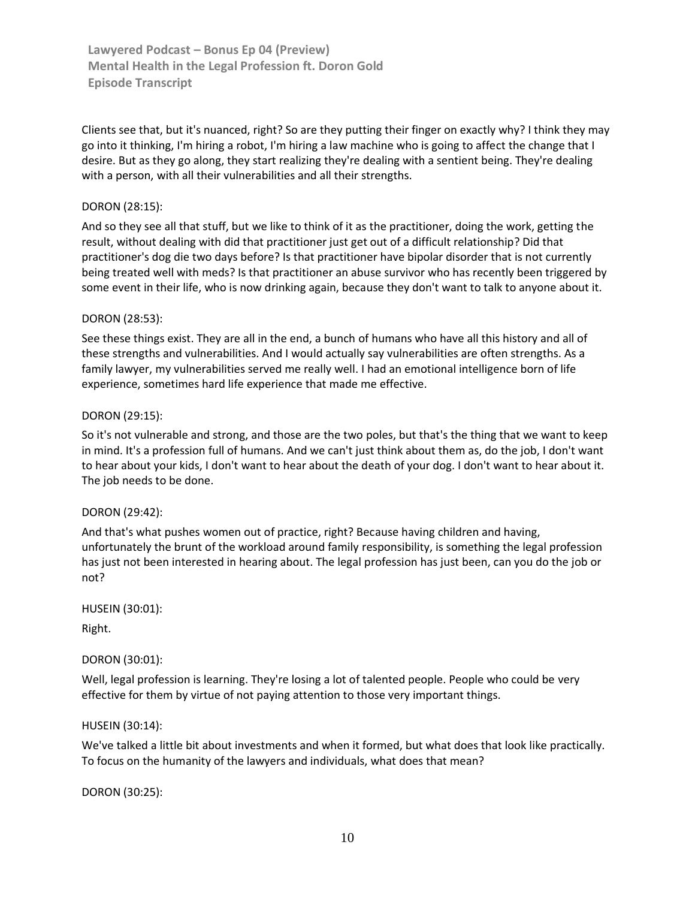Clients see that, but it's nuanced, right? So are they putting their finger on exactly why? I think they may go into it thinking, I'm hiring a robot, I'm hiring a law machine who is going to affect the change that I desire. But as they go along, they start realizing they're dealing with a sentient being. They're dealing with a person, with all their vulnerabilities and all their strengths.

## DORON [\(28:15\)](https://www.rev.com/transcript-editor/Edit?token=LO929mzfjcBjaryBY9ioXVf5V6e1tf9Kd749SjJBEGSHJka44kRQ_2463QhHwg2L8DIetkZP8dIG4SykP5TAz7UOSpY&loadFrom=DocumentDeeplink&ts=1695.96):

And so they see all that stuff, but we like to think of it as the practitioner, doing the work, getting the result, without dealing with did that practitioner just get out of a difficult relationship? Did that practitioner's dog die two days before? Is that practitioner have bipolar disorder that is not currently being treated well with meds? Is that practitioner an abuse survivor who has recently been triggered by some event in their life, who is now drinking again, because they don't want to talk to anyone about it.

### DORON [\(28:53\)](https://www.rev.com/transcript-editor/Edit?token=TKMVTShiOoaDctnHnmFXrK_bgwdJabcZBeBcWp2Lr5S0nA2ylZGjmJjwbKgbATii6NHeORV9dF_98Ou14Dc6PvoWH6k&loadFrom=DocumentDeeplink&ts=1733.04):

See these things exist. They are all in the end, a bunch of humans who have all this history and all of these strengths and vulnerabilities. And I would actually say vulnerabilities are often strengths. As a family lawyer, my vulnerabilities served me really well. I had an emotional intelligence born of life experience, sometimes hard life experience that made me effective.

### DORON [\(29:15\)](https://www.rev.com/transcript-editor/Edit?token=EdrGIikAZCk8lKfgmUQBuujpwyG9K1pF-8RZqSvcBQcFZjYW6sH0YNLlD3fN0Bb_Ix9Dwp-c3F8S1xpr4fgeWknOlvg&loadFrom=DocumentDeeplink&ts=1755.98):

So it's not vulnerable and strong, and those are the two poles, but that's the thing that we want to keep in mind. It's a profession full of humans. And we can't just think about them as, do the job, I don't want to hear about your kids, I don't want to hear about the death of your dog. I don't want to hear about it. The job needs to be done.

### DORON [\(29:42\)](https://www.rev.com/transcript-editor/Edit?token=fDPhLPvpdEpM6B7IaeeLkB816jj05GcFwvk9e_O5d-YnjLnJGYXXWJiRRVhJVaOwdQD2VwNXB9I4xsYI0yzf3Mew6rs&loadFrom=DocumentDeeplink&ts=1782.61):

And that's what pushes women out of practice, right? Because having children and having, unfortunately the brunt of the workload around family responsibility, is something the legal profession has just not been interested in hearing about. The legal profession has just been, can you do the job or not?

HUSEIN [\(30:01\)](https://www.rev.com/transcript-editor/Edit?token=1a-GR7cJ8s-w5MNU9nIZjiHyuZQujf7wC4-zPk3TAf6ZypiQ5SKkYElvWeqmCwDN3wpSXwMOo-snKKmjcXwtH7HCfpE&loadFrom=DocumentDeeplink&ts=1801.1):

Right.

### DORON [\(30:01\)](https://www.rev.com/transcript-editor/Edit?token=kuHMjRFg1nrowZI7IJ-cpCd2OfBjk3AmFaXU82bzxP7jUHnGxQw50MlcgFHokvAOeVf6jsLXMgQct_9olnPch6zU3J0&loadFrom=DocumentDeeplink&ts=1801.96):

Well, legal profession is learning. They're losing a lot of talented people. People who could be very effective for them by virtue of not paying attention to those very important things.

### HUSEIN [\(30:14\)](https://www.rev.com/transcript-editor/Edit?token=lnYHPFikPLj_1m4d7sqYHuqbtLs6NnA9wAvqIDAYrPqrSMk_6dQiZ1hM-YLAf2ZB2p1ckYIUsF4lY5Qy8nKsHlvTYIM&loadFrom=DocumentDeeplink&ts=1814.09):

We've talked a little bit about investments and when it formed, but what does that look like practically. To focus on the humanity of the lawyers and individuals, what does that mean?

DORON [\(30:25\)](https://www.rev.com/transcript-editor/Edit?token=RmH2QotFQ4Dlyw_20xMZOwry_yrjDkLatlA2iSLqezmrb_mWysVBqSr8362OzISMIBDkAtiBVdlbUuO-NHmVQgnfFTc&loadFrom=DocumentDeeplink&ts=1825.84):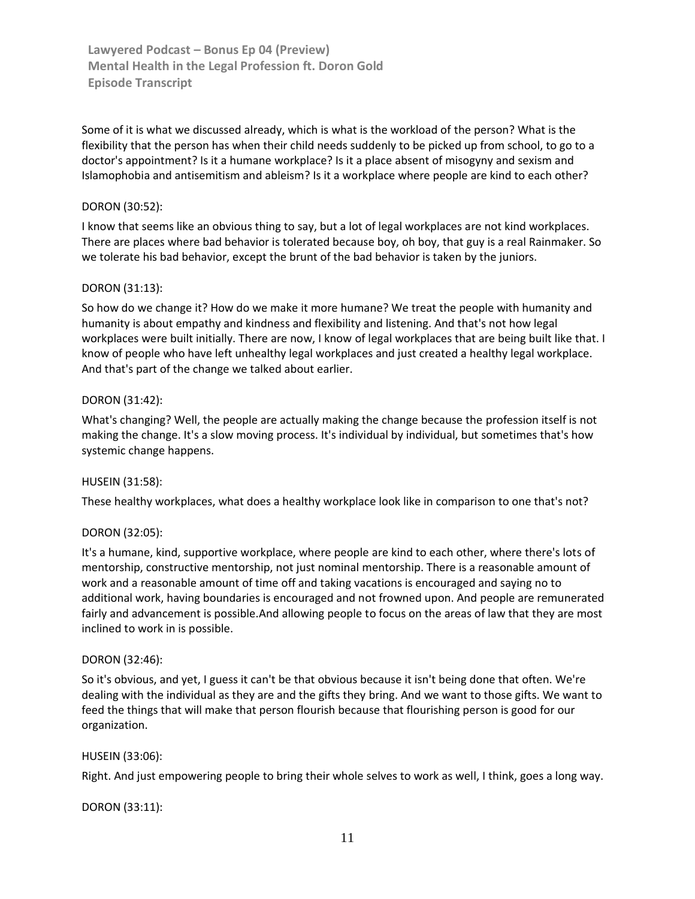Some of it is what we discussed already, which is what is the workload of the person? What is the flexibility that the person has when their child needs suddenly to be picked up from school, to go to a doctor's appointment? Is it a humane workplace? Is it a place absent of misogyny and sexism and Islamophobia and antisemitism and ableism? Is it a workplace where people are kind to each other?

## DORON [\(30:52\)](https://www.rev.com/transcript-editor/Edit?token=iRKPFv21e9b25uBDwGtZFofmp-kMiWb2k3KZ-y19jU2huI-jDkezQjOTF8xc63CI4wwbxNRY2xa1taYBlHy_5IsANmg&loadFrom=DocumentDeeplink&ts=1852.82):

I know that seems like an obvious thing to say, but a lot of legal workplaces are not kind workplaces. There are places where bad behavior is tolerated because boy, oh boy, that guy is a real Rainmaker. So we tolerate his bad behavior, except the brunt of the bad behavior is taken by the juniors.

### DORON [\(31:13\)](https://www.rev.com/transcript-editor/Edit?token=AUmA1si3d5HvChmr2CEy4b0A95BiKJ9FvR97bTR4WNc4Y99ku-P8OIwzZDfkaLow-3hIplrhW2MRl081sVXBvLCXUUo&loadFrom=DocumentDeeplink&ts=1873.76):

So how do we change it? How do we make it more humane? We treat the people with humanity and humanity is about empathy and kindness and flexibility and listening. And that's not how legal workplaces were built initially. There are now, I know of legal workplaces that are being built like that. I know of people who have left unhealthy legal workplaces and just created a healthy legal workplace. And that's part of the change we talked about earlier.

### DORON [\(31:42\)](https://www.rev.com/transcript-editor/Edit?token=brp8g_f116ZPcHewdi4tZ2etkpAAwOsXvDxpVNw7t1a6PagyDVfJ-rkOh7Ln4OG3MnECdcBiUUQbn7EFqsh4-ZCEMDo&loadFrom=DocumentDeeplink&ts=1902.69):

What's changing? Well, the people are actually making the change because the profession itself is not making the change. It's a slow moving process. It's individual by individual, but sometimes that's how systemic change happens.

### HUSEIN [\(31:58\)](https://www.rev.com/transcript-editor/Edit?token=uP0_DtMOQ1RkqM-fcMUQAddWC4NvDA2pGz6Hlt2lER_HsExQsaKdWbKFYudeVav4l3-wTNaFlpInCBTSUJfBRsyDasA&loadFrom=DocumentDeeplink&ts=1918.53):

These healthy workplaces, what does a healthy workplace look like in comparison to one that's not?

### DORON [\(32:05\)](https://www.rev.com/transcript-editor/Edit?token=4tiyd94-d_QzxtmF062r1qFEa-gC3xM5wi7t7WuL3QqN0qPsD7oXEBJpkX10mxUtYml4kH-D8cXkyYo29pv_g1VVvxQ&loadFrom=DocumentDeeplink&ts=1925.19):

It's a humane, kind, supportive workplace, where people are kind to each other, where there's lots of mentorship, constructive mentorship, not just nominal mentorship. There is a reasonable amount of work and a reasonable amount of time off and taking vacations is encouraged and saying no to additional work, having boundaries is encouraged and not frowned upon. And people are remunerated fairly and advancement is possible.And allowing people to focus on the areas of law that they are most inclined to work in is possible.

#### DORON [\(32:46\)](https://www.rev.com/transcript-editor/Edit?token=XQaywXPVFlAG72dTva5XzsURXIYAie09rrgTHBpZE_5OEJF5CtcjKbEMLr1sdXM7qmhTai9dAzuobms4dmVk4ScQ0fU&loadFrom=DocumentDeeplink&ts=1966.19):

So it's obvious, and yet, I guess it can't be that obvious because it isn't being done that often. We're dealing with the individual as they are and the gifts they bring. And we want to those gifts. We want to feed the things that will make that person flourish because that flourishing person is good for our organization.

#### HUSEIN [\(33:06\)](https://www.rev.com/transcript-editor/Edit?token=RhCNjjKRyjwoZ3Zqb_ECgT-3oLq2lOj7W3SxhkZq-O2Fnc5_leq8J5KC5E4lAZxJ_6gLT0DqtkXVbhXg07Djyu_MsjE&loadFrom=DocumentDeeplink&ts=1986):

Right. And just empowering people to bring their whole selves to work as well, I think, goes a long way.

### DORON [\(33:11\)](https://www.rev.com/transcript-editor/Edit?token=YcrRvOZ01Ti_6MxfGSrGFcytP5mw5cdFK2luFqe8pyfWD546cIX1e-xnIYZu5lGXZ0V2XlX2HiKlMfdt6JG3zQ91bNU&loadFrom=DocumentDeeplink&ts=1991.24):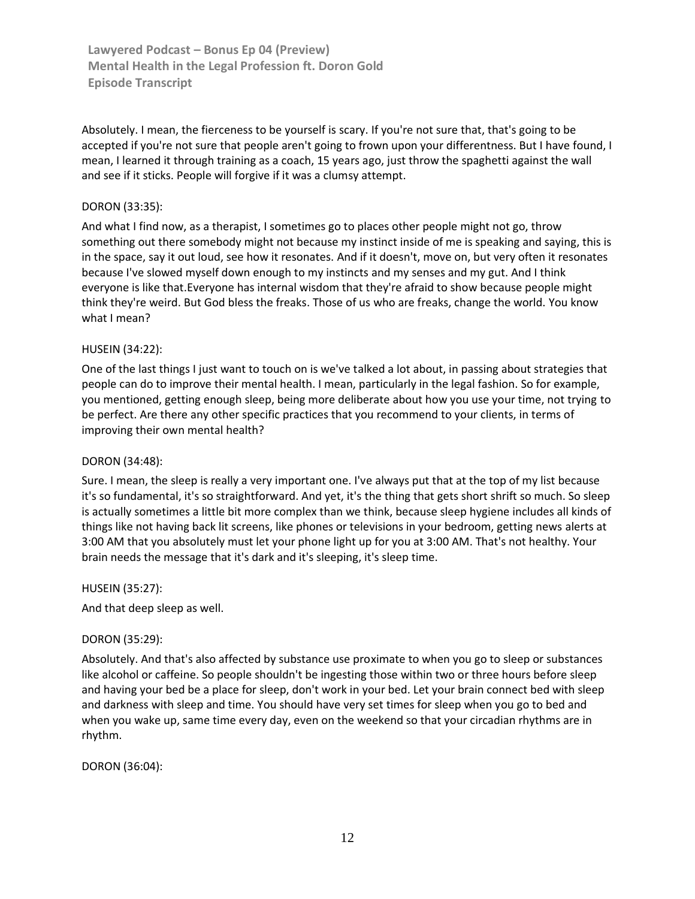Absolutely. I mean, the fierceness to be yourself is scary. If you're not sure that, that's going to be accepted if you're not sure that people aren't going to frown upon your differentness. But I have found, I mean, I learned it through training as a coach, 15 years ago, just throw the spaghetti against the wall and see if it sticks. People will forgive if it was a clumsy attempt.

## DORON [\(33:35\)](https://www.rev.com/transcript-editor/Edit?token=HRIAP92Uf-Gr5q7yMBwIcPSWb9LgmpCxgFefQm95JEIRfDxf7y2Js7qA1IUjwEmDSZ1BmLvMD_fDpzg18yYREdhbb2U&loadFrom=DocumentDeeplink&ts=2015.75):

And what I find now, as a therapist, I sometimes go to places other people might not go, throw something out there somebody might not because my instinct inside of me is speaking and saying, this is in the space, say it out loud, see how it resonates. And if it doesn't, move on, but very often it resonates because I've slowed myself down enough to my instincts and my senses and my gut. And I think everyone is like that.Everyone has internal wisdom that they're afraid to show because people might think they're weird. But God bless the freaks. Those of us who are freaks, change the world. You know what I mean?

# HUSEIN [\(34:22\)](https://www.rev.com/transcript-editor/Edit?token=0QujmfU0TIqidqilt_pLdokJpX3REPg1zsb28z7FjZTXNxgQteL9TJGUzzTlNe6_vkb9vv_o0qX6Mxl4l0-8Dx-W4po&loadFrom=DocumentDeeplink&ts=2062.8):

One of the last things I just want to touch on is we've talked a lot about, in passing about strategies that people can do to improve their mental health. I mean, particularly in the legal fashion. So for example, you mentioned, getting enough sleep, being more deliberate about how you use your time, not trying to be perfect. Are there any other specific practices that you recommend to your clients, in terms of improving their own mental health?

### DORON [\(34:48\)](https://www.rev.com/transcript-editor/Edit?token=OqEFWJnX0DIptzhdgBBXYM8iw2WMinsZ_wroSDEjnN386yw0IqE32E0HxOnUx8Yimvo38rgKE4P-i9BV7TH-LHmjdME&loadFrom=DocumentDeeplink&ts=2088.8):

Sure. I mean, the sleep is really a very important one. I've always put that at the top of my list because it's so fundamental, it's so straightforward. And yet, it's the thing that gets short shrift so much. So sleep is actually sometimes a little bit more complex than we think, because sleep hygiene includes all kinds of things like not having back lit screens, like phones or televisions in your bedroom, getting news alerts at 3:00 AM that you absolutely must let your phone light up for you at 3:00 AM. That's not healthy. Your brain needs the message that it's dark and it's sleeping, it's sleep time.

### HUSEIN [\(35:27\)](https://www.rev.com/transcript-editor/Edit?token=QiWEMS0HmjII1HtLYWZ0Ill0GUKkyN_gib0WdOQVgLI2ZfcUa4mp6qEA0co-R6FNZqLyWWiWS_7zExs-skC_DaFx79Y&loadFrom=DocumentDeeplink&ts=2127.77):

And that deep sleep as well.

### DORON [\(35:29\)](https://www.rev.com/transcript-editor/Edit?token=2WX6txTUmP8IJAPpfO1fMs7j-ycFEvlLz4inOjbmzHhWbcxtQy1KELKPqvDW_yl0i-EY2a4eiWMYnxicI7XG6qGUHZk&loadFrom=DocumentDeeplink&ts=2129.5):

Absolutely. And that's also affected by substance use proximate to when you go to sleep or substances like alcohol or caffeine. So people shouldn't be ingesting those within two or three hours before sleep and having your bed be a place for sleep, don't work in your bed. Let your brain connect bed with sleep and darkness with sleep and time. You should have very set times for sleep when you go to bed and when you wake up, same time every day, even on the weekend so that your circadian rhythms are in rhythm.

DORON [\(36:04\)](https://www.rev.com/transcript-editor/Edit?token=bDwTgoAaG_TRPgGGC8Qu350gqQClkI7P8G55BuF8HpbAn5LUTQ_BCg37gtC4ubcW10YtjGIoUAu_IHCTERKhC3ALFGw&loadFrom=DocumentDeeplink&ts=2164.33):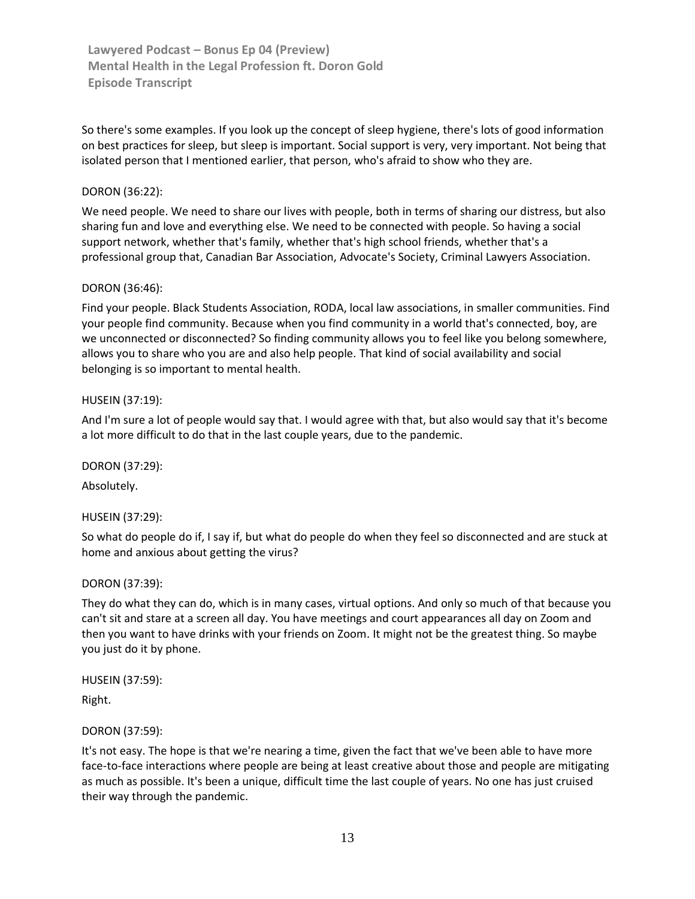So there's some examples. If you look up the concept of sleep hygiene, there's lots of good information on best practices for sleep, but sleep is important. Social support is very, very important. Not being that isolated person that I mentioned earlier, that person, who's afraid to show who they are.

## DORON [\(36:22\)](https://www.rev.com/transcript-editor/Edit?token=N09EneiJXI1nmJOACZBp5rLZSL-dX1rGWqnhWtbQ-Z7Euq9XUp6nrZM9Mqj9A12dFLDam13xkBdzty0noIeSEMM88vA&loadFrom=DocumentDeeplink&ts=2182.47):

We need people. We need to share our lives with people, both in terms of sharing our distress, but also sharing fun and love and everything else. We need to be connected with people. So having a social support network, whether that's family, whether that's high school friends, whether that's a professional group that, Canadian Bar Association, Advocate's Society, Criminal Lawyers Association.

### DORON [\(36:46\)](https://www.rev.com/transcript-editor/Edit?token=Ixps7d4GE9eJCMPSt92bEPDQpK1jvf5_vnQZetaqjsjg811Rcr4lzzw3_7MhmU3wlsf3WouOIiIKhCpFuyNbdwbDw98&loadFrom=DocumentDeeplink&ts=2206.22):

Find your people. Black Students Association, RODA, local law associations, in smaller communities. Find your people find community. Because when you find community in a world that's connected, boy, are we unconnected or disconnected? So finding community allows you to feel like you belong somewhere, allows you to share who you are and also help people. That kind of social availability and social belonging is so important to mental health.

### HUSEIN [\(37:19\)](https://www.rev.com/transcript-editor/Edit?token=oosnPmLmlltsyk4OxG7WWdhgLv4raokQq82uJfuluMMsoGHAIVev5DcZIpFeb9rwYT8t2c9b1wpCBjZASpgxR65HOr8&loadFrom=DocumentDeeplink&ts=2239.83):

And I'm sure a lot of people would say that. I would agree with that, but also would say that it's become a lot more difficult to do that in the last couple years, due to the pandemic.

DORON [\(37:29\)](https://www.rev.com/transcript-editor/Edit?token=uuhjihBKRAn9JZeNod0pS0mCpaWJfLKQ5-0VNCL6pTjuf7UGilCoUH_boAmOlgA_XjwNmmqZksakQi4aSfVTqeYRWCU&loadFrom=DocumentDeeplink&ts=2249.85):

Absolutely.

### HUSEIN [\(37:29\)](https://www.rev.com/transcript-editor/Edit?token=gtOLz7feKdutjPbktK2xoc91w5KUOcRchNWHI1dTJoz9QlrMDZH14dGbGW21rghpoPvBTcG-57mxKkA7JXaurYqAW0c&loadFrom=DocumentDeeplink&ts=2249.85):

So what do people do if, I say if, but what do people do when they feel so disconnected and are stuck at home and anxious about getting the virus?

#### DORON [\(37:39\)](https://www.rev.com/transcript-editor/Edit?token=hdcp1KXzZ9rQxm0OwfZRQnl9JJ5_YqbelIZHA2qk-TrB_P3L2OOOTodUG31Lda6a1nXb5CHw5uttZMfMCmJUsVHqm9k&loadFrom=DocumentDeeplink&ts=2259.34):

They do what they can do, which is in many cases, virtual options. And only so much of that because you can't sit and stare at a screen all day. You have meetings and court appearances all day on Zoom and then you want to have drinks with your friends on Zoom. It might not be the greatest thing. So maybe you just do it by phone.

HUSEIN [\(37:59\)](https://www.rev.com/transcript-editor/Edit?token=1369-ukys5cEAphYQqXT8U8NnlLvLrLj4L4TyHM7rnjsAtDHvIGc1VtBF5a8ojyL-KuUIEq9mQylhuItBAk3fM3S0bM&loadFrom=DocumentDeeplink&ts=2279.63):

Right.

### DORON [\(37:59\)](https://www.rev.com/transcript-editor/Edit?token=j22xG9gRpiC0HmupVCUsLL5pOkoKp9CoJ3GXQUf6jQ70Qi9rMkxEEWWQ72L63P_MGsr3fyr7rfXhzUkLiLfJRk0Hd1I&loadFrom=DocumentDeeplink&ts=2279.93):

It's not easy. The hope is that we're nearing a time, given the fact that we've been able to have more face-to-face interactions where people are being at least creative about those and people are mitigating as much as possible. It's been a unique, difficult time the last couple of years. No one has just cruised their way through the pandemic.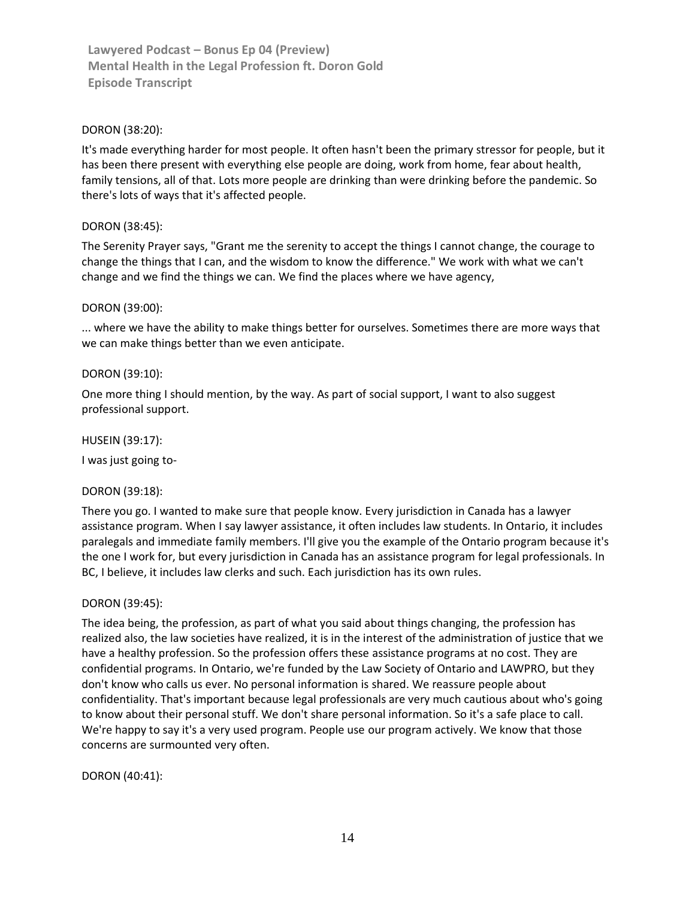## DORON [\(38:20\)](https://www.rev.com/transcript-editor/Edit?token=t9KmvxWetJNnyqNFEztbLrfjU0wzf8AFYaOopjlCbSGChnSuEGzXuXm0tsQ3o5NzblH8ZOMv6NIWui6g7FM1masysWw&loadFrom=DocumentDeeplink&ts=2300.12):

It's made everything harder for most people. It often hasn't been the primary stressor for people, but it has been there present with everything else people are doing, work from home, fear about health, family tensions, all of that. Lots more people are drinking than were drinking before the pandemic. So there's lots of ways that it's affected people.

## DORON [\(38:45\)](https://www.rev.com/transcript-editor/Edit?token=9P0WlKbEbWsQAL400zQ-LcOjziVDQavnGxPSXwAGUblD9KZ6THUAMUdMwnnsCchCmdDIhNFEPpxJHTVY0v7BKmqrSiY&loadFrom=DocumentDeeplink&ts=2325.53):

The Serenity Prayer says, "Grant me the serenity to accept the things I cannot change, the courage to change the things that I can, and the wisdom to know the difference." We work with what we can't change and we find the things we can. We find the places where we have agency,

### DORON [\(39:00\)](https://www.rev.com/transcript-editor/Edit?token=RTnN7BjExXD1I9KKnfFD3CQlpIT1DslKkBxLRKnR0A21lvzGpkmvlRMeIIQQLuubXzrW-uKkdzhMVVrfpBi22gjC81g&loadFrom=DocumentDeeplink&ts=2340.47):

... where we have the ability to make things better for ourselves. Sometimes there are more ways that we can make things better than we even anticipate.

### DORON [\(39:10\)](https://www.rev.com/transcript-editor/Edit?token=LtfVjtPTG-dE-SzM6lM5b8GoBrN2DRXErA2hgZonJaqZJZ4ndVqR1c8ItgPBPvazui2squ_L80CHEimwDKy_IIC8EL0&loadFrom=DocumentDeeplink&ts=2350.41):

One more thing I should mention, by the way. As part of social support, I want to also suggest professional support.

HUSEIN [\(39:17\)](https://www.rev.com/transcript-editor/Edit?token=O4xiB3QH72SyYY36CZ1Z9VL6RcS1Dkl_PAGRk1OV6DFjJUWyOFngZM9H2Y93cKd9urpEvaEFtMcVR8Gk0rCp1re9TI8&loadFrom=DocumentDeeplink&ts=2357.58):

I was just going to-

### DORON [\(39:18\)](https://www.rev.com/transcript-editor/Edit?token=GznU-h23VCzLhOM1JQ2jrmlHDIYp5twvz_fDFmbLH9UQMr8qfAvqxUUTJkJ96OMPuFWyl4GjYX4tUELDHahvHfRI4KU&loadFrom=DocumentDeeplink&ts=2358.61):

There you go. I wanted to make sure that people know. Every jurisdiction in Canada has a lawyer assistance program. When I say lawyer assistance, it often includes law students. In Ontario, it includes paralegals and immediate family members. I'll give you the example of the Ontario program because it's the one I work for, but every jurisdiction in Canada has an assistance program for legal professionals. In BC, I believe, it includes law clerks and such. Each jurisdiction has its own rules.

### DORON [\(39:45\)](https://www.rev.com/transcript-editor/Edit?token=x9M5aUONANv65qsUrQ8rCVu0Fj715ir0c8o_OsHwLxcl0o3RiyHkMhqsmfGAMAkIMQtvMjBKivtqV5J4rDHmZIRpm0M&loadFrom=DocumentDeeplink&ts=2385.09):

The idea being, the profession, as part of what you said about things changing, the profession has realized also, the law societies have realized, it is in the interest of the administration of justice that we have a healthy profession. So the profession offers these assistance programs at no cost. They are confidential programs. In Ontario, we're funded by the Law Society of Ontario and LAWPRO, but they don't know who calls us ever. No personal information is shared. We reassure people about confidentiality. That's important because legal professionals are very much cautious about who's going to know about their personal stuff. We don't share personal information. So it's a safe place to call. We're happy to say it's a very used program. People use our program actively. We know that those concerns are surmounted very often.

DORON [\(40:41\)](https://www.rev.com/transcript-editor/Edit?token=0b81zVSOXKZ1G9O1Vn6ZxSjj5GYKXsnEhQKtzpKNIGuR4SKIa2XplkGL7RQ8EBxkv8UtcBH_3BjnMsuQQSDlsxjHu8s&loadFrom=DocumentDeeplink&ts=2441.2):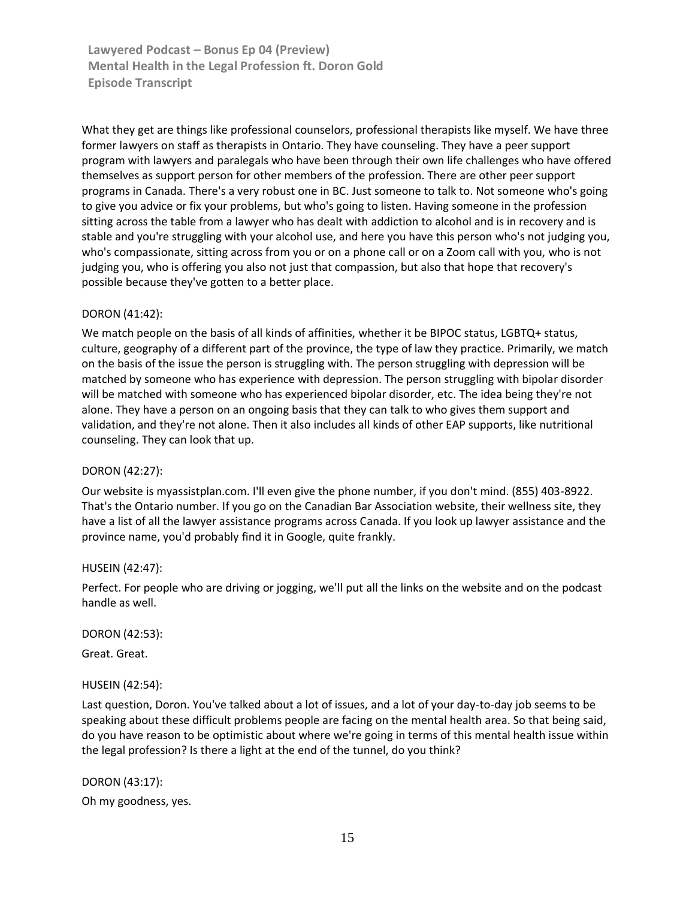What they get are things like professional counselors, professional therapists like myself. We have three former lawyers on staff as therapists in Ontario. They have counseling. They have a peer support program with lawyers and paralegals who have been through their own life challenges who have offered themselves as support person for other members of the profession. There are other peer support programs in Canada. There's a very robust one in BC. Just someone to talk to. Not someone who's going to give you advice or fix your problems, but who's going to listen. Having someone in the profession sitting across the table from a lawyer who has dealt with addiction to alcohol and is in recovery and is stable and you're struggling with your alcohol use, and here you have this person who's not judging you, who's compassionate, sitting across from you or on a phone call or on a Zoom call with you, who is not judging you, who is offering you also not just that compassion, but also that hope that recovery's possible because they've gotten to a better place.

### DORON [\(41:42\)](https://www.rev.com/transcript-editor/Edit?token=hLIBw8pTV6R5GxWIuGfZ3P9lSWPUdqm-8c_njsLS1z2jKm-XqOEf3eDBOnQMKGbnOWbyvDjRb6cbYP3TPiOTK_PerR8&loadFrom=DocumentDeeplink&ts=2502.88):

We match people on the basis of all kinds of affinities, whether it be BIPOC status, LGBTQ+ status, culture, geography of a different part of the province, the type of law they practice. Primarily, we match on the basis of the issue the person is struggling with. The person struggling with depression will be matched by someone who has experience with depression. The person struggling with bipolar disorder will be matched with someone who has experienced bipolar disorder, etc. The idea being they're not alone. They have a person on an ongoing basis that they can talk to who gives them support and validation, and they're not alone. Then it also includes all kinds of other EAP supports, like nutritional counseling. They can look that up.

#### DORON [\(42:27\)](https://www.rev.com/transcript-editor/Edit?token=04OgM30jtHSdbWFD7cNCtt9-iYdA4uIzdDFh-G3cW2FLUUx5UhDVTUGWROHyGmFGHzBxvQ4wgmRPBy6GKoUbS2hmnns&loadFrom=DocumentDeeplink&ts=2547.08):

Our website is myassistplan.com. I'll even give the phone number, if you don't mind. (855) 403-8922. That's the Ontario number. If you go on the Canadian Bar Association website, their wellness site, they have a list of all the lawyer assistance programs across Canada. If you look up lawyer assistance and the province name, you'd probably find it in Google, quite frankly.

#### HUSEIN [\(42:47\)](https://www.rev.com/transcript-editor/Edit?token=1ssjMZp43d2fjSf_3vmyTIu1tFGsaypkKkw91K-jCO19g995aJmEATTyPJOF1a5jaTluvUw18qBTu2Z2pNKf7R1fT0U&loadFrom=DocumentDeeplink&ts=2567.23):

Perfect. For people who are driving or jogging, we'll put all the links on the website and on the podcast handle as well.

#### DORON [\(42:53\)](https://www.rev.com/transcript-editor/Edit?token=vBnU81C6wUSn6LhP1lN5EpRkFbJCVcO5zLAAodDTTFrG5MjapyGpuA6rlVd4QmZdeujT1LNl3sQRgHQ8ayxncqxlJuw&loadFrom=DocumentDeeplink&ts=2573.27):

Great. Great.

### HUSEIN [\(42:54\)](https://www.rev.com/transcript-editor/Edit?token=_VyIV5Wwm-cmNRL8YAi9MqB1GJ_ipCkyHK8OibSwQk2pVRcckEpDs31Ex6vZUiGP4PVZDuqul9Z1NjRKa3YLpBo1VZY&loadFrom=DocumentDeeplink&ts=2574.38):

Last question, Doron. You've talked about a lot of issues, and a lot of your day-to-day job seems to be speaking about these difficult problems people are facing on the mental health area. So that being said, do you have reason to be optimistic about where we're going in terms of this mental health issue within the legal profession? Is there a light at the end of the tunnel, do you think?

DORON [\(43:17\)](https://www.rev.com/transcript-editor/Edit?token=63pY2I-uSNdAFeZpBex0n6pWt4pIRhn8TNMMRMM_bR8FtxUBm0XmQhk1m-SSIIhpkuDQZVdWq-PZX2CW3nBAw_4IKfI&loadFrom=DocumentDeeplink&ts=2597.68): Oh my goodness, yes.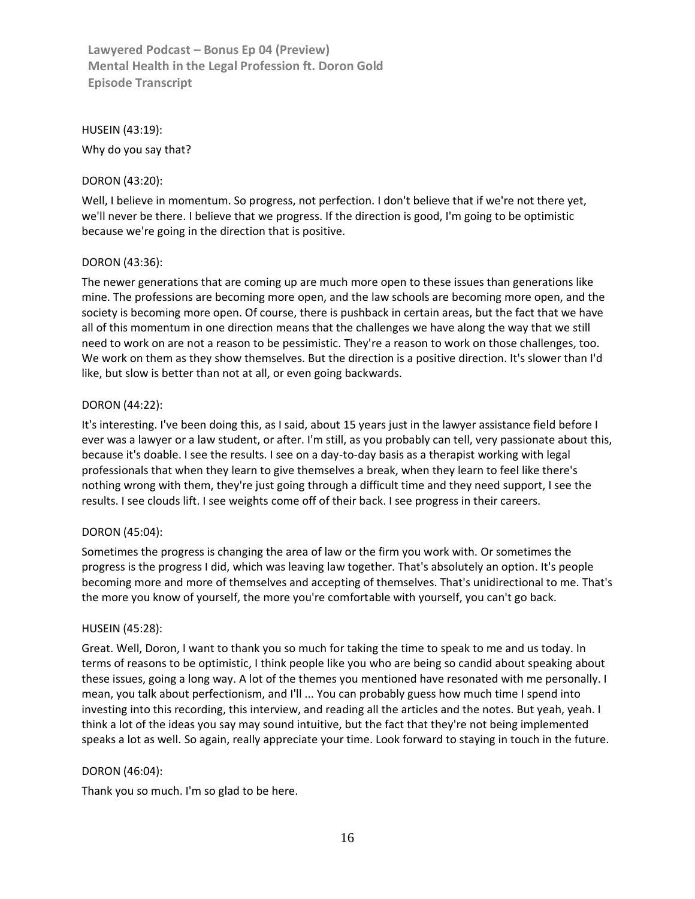### HUSEIN [\(43:19\)](https://www.rev.com/transcript-editor/Edit?token=aHueUr2d_NDlgxM2bzVawq2S-xMuCiUxbO10c47TzEApEKtZjAiRPnTFcZGRcFKdNmpg6P1A5RyGjrHBT-ug_hPmYTQ&loadFrom=DocumentDeeplink&ts=2599.74):

Why do you say that?

# DORON [\(43:20\)](https://www.rev.com/transcript-editor/Edit?token=IvJwRqEsq5ar-TT7PFLzIy8iCEWW-JWdcI4mQ_Gai6_Ytf71--xCffSdhhOwaUV_f6PdsQs5x_NMFrXHcpEYGMg4UUo&loadFrom=DocumentDeeplink&ts=2600.5):

Well, I believe in momentum. So progress, not perfection. I don't believe that if we're not there yet, we'll never be there. I believe that we progress. If the direction is good, I'm going to be optimistic because we're going in the direction that is positive.

# DORON [\(43:36\)](https://www.rev.com/transcript-editor/Edit?token=r-ZAEjgv90K_QV-fx0zHRXuLWiuc_vks5rqWZlxGWxR2BVbtOO-jRviZp8G_Ylq7fLA49WTwunoSfMzHcEm_0px1GXs&loadFrom=DocumentDeeplink&ts=2616.95):

The newer generations that are coming up are much more open to these issues than generations like mine. The professions are becoming more open, and the law schools are becoming more open, and the society is becoming more open. Of course, there is pushback in certain areas, but the fact that we have all of this momentum in one direction means that the challenges we have along the way that we still need to work on are not a reason to be pessimistic. They're a reason to work on those challenges, too. We work on them as they show themselves. But the direction is a positive direction. It's slower than I'd like, but slow is better than not at all, or even going backwards.

# DORON [\(44:22\)](https://www.rev.com/transcript-editor/Edit?token=SV0E2wrniuJfNLXwvzr5NrjoKILDo_DbCLFEhQS_LRBXYPZYYsq-G6g4pOfEJ5pMl7c-rk_kvDUyAGyvVhOiBe66QhU&loadFrom=DocumentDeeplink&ts=2662.95):

It's interesting. I've been doing this, as I said, about 15 years just in the lawyer assistance field before I ever was a lawyer or a law student, or after. I'm still, as you probably can tell, very passionate about this, because it's doable. I see the results. I see on a day-to-day basis as a therapist working with legal professionals that when they learn to give themselves a break, when they learn to feel like there's nothing wrong with them, they're just going through a difficult time and they need support, I see the results. I see clouds lift. I see weights come off of their back. I see progress in their careers.

### DORON [\(45:04\)](https://www.rev.com/transcript-editor/Edit?token=ahMWc4Qne38mWt-nkiSU6_Vnpin0mTegC6CIi2IMfb2RXEgTeg9MmDZsbWYFVELVYvPwP4xohciIb8IuhQAXWxWPu9I&loadFrom=DocumentDeeplink&ts=2704.89):

Sometimes the progress is changing the area of law or the firm you work with. Or sometimes the progress is the progress I did, which was leaving law together. That's absolutely an option. It's people becoming more and more of themselves and accepting of themselves. That's unidirectional to me. That's the more you know of yourself, the more you're comfortable with yourself, you can't go back.

### HUSEIN [\(45:28\)](https://www.rev.com/transcript-editor/Edit?token=x7n8LZxSjRh2Y6s4LjDgWr8zNYPp5J-RTn52O1BwvVXmGj28pNEWEUQVs75aDl9vJ1VjJvPAoSMxacOzrTkgDWmzEA0&loadFrom=DocumentDeeplink&ts=2728.09):

Great. Well, Doron, I want to thank you so much for taking the time to speak to me and us today. In terms of reasons to be optimistic, I think people like you who are being so candid about speaking about these issues, going a long way. A lot of the themes you mentioned have resonated with me personally. I mean, you talk about perfectionism, and I'll ... You can probably guess how much time I spend into investing into this recording, this interview, and reading all the articles and the notes. But yeah, yeah. I think a lot of the ideas you say may sound intuitive, but the fact that they're not being implemented speaks a lot as well. So again, really appreciate your time. Look forward to staying in touch in the future.

### DORON [\(46:04\)](https://www.rev.com/transcript-editor/Edit?token=FPxpWdAFsbnS9Fe2sEB_fWWxaopsj6g-Xzg5Ml-W0L92LiXZWicL6V7yHVoqD3fQXFg8dZx6YpZyLXqfR3VdRXwpyWQ&loadFrom=DocumentDeeplink&ts=2764.58):

Thank you so much. I'm so glad to be here.